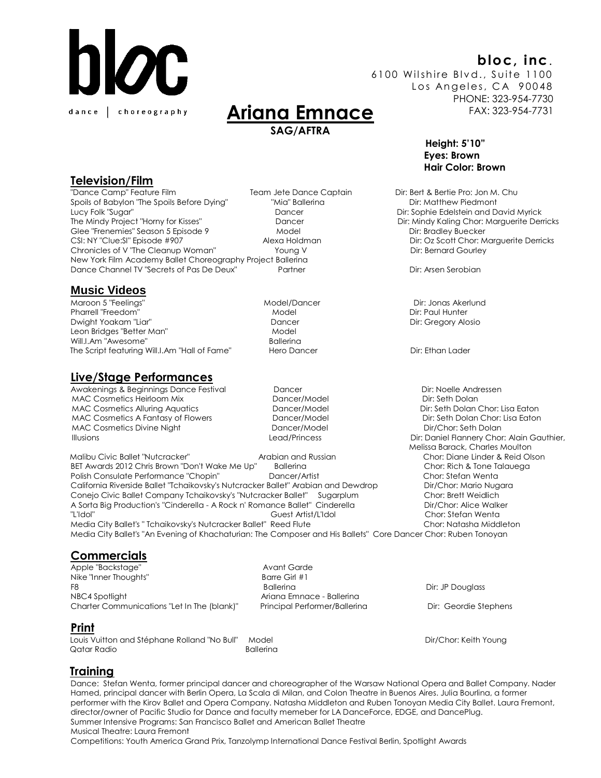

# **bloc, inc**.

6100 Wilshire Blvd., Suite 1100 Los Angeles, CA 90048 PHONE: 323-954-7730 FAX: 323-954-7731

> **Height: 5'10" Eyes: Brown Hair Color: Brown**

# **Ariana Emnace SAG/AFTRA**

# **Television/Film**

"Dance Camp" Feature Film Team Jete Dance Captain Dir: Bert & Bertie Pro: Jon M. Chu Spoils of Babylon "The Spoils Before Dying" "Mia" Ballerina The Spoils of Babylon "The Spoils Before Dying" Mia Lucy Folk "Sugar" Dancer Dir: Sophie Edelstein and David Myrick The Mindy Project "Horny for Kisses" Dancer Dancer Dir: Mindy Kaling Chor: Marguerite Derricks Glee "Frenemies" Season 5 Episode 9 Model Model Clee "Frenemies" Season 5 Episode 9 Model Dir: Bradley Buecker CSI: NY "Clue:SI" Episode #907 Alexa Holdman Dir: Oz Scott Chor: Marguerite Derricks Chronicles of V "The Cleanup Woman" Young V North Dir: Bernard Gourley New York Film Academy Ballet Choreography Project Ballerina Dance Channel TV "Secrets of Pas De Deux" Partner Partner Partner Partner Dir: Arsen Serobian

### **Music Videos**

Maroon 5 "Feelings" Model/Dancer Dir: Jonas Akerlund Pharrell "Freedom" Nodel Model Dir: Paul Hunter Dwight Yoakam "Liar" Dancer Dir: Gregory Alosio Leon Bridges "Better Man" Model Will.I.Am "Awesome" example a state of the Ballerina The Script featuring Will.I.Am "Hall of Fame" Hero Dancer The Script Ethan Lader

#### **Live/Stage Performances**

Awakenings & Beginnings Dance Festival **Dancer Communist Communist Communist Communist Communist Communist Communist Communist Communist Communist Communist Communist Communist Communist Communist Communist Communist Commu** MAC Cosmetics Heirloom Mix **Dancer/Model** Dir: Seth Dolan MAC Cosmetics Alluring Aquatics **Dancer/Model** Dir: Seth Dolan Chor: Lisa Eaton MAC Cosmetics A Fantasy of Flowers **Dancer/Model** Dir: Seth Dolan Chor: Lisa Eaton MAC Cosmetics Divine Night **Dancer/Model** Dancer/Model Dir/Chor: Seth Dolan

 Malibu Civic Ballet "Nutcracker" Arabian and Russian Chor: Diane Linder & Reid Olson BET Awards 2012 Chris Brown "Don't Wake Me Up" Ballerina Chor: Rich & Tone Talauega Polish Consulate Performance "Chopin" Dancer/Artist Chor: Stefan Wenta California Riverside Ballet "Tchaikovsky's Nutcracker Ballet" Arabian and Dewdrop Dir/Chor: Mario Nugara Conejo Civic Ballet Company Tchaikovsky's "Nutcracker Ballet" Sugarplum Chor: Brett Weidlich A Sorta Big Production's "Cinderella - A Rock n' Romance Ballet" Cinderella Dir/Chor: Alice Walker "L'Idol" Guest Artist/L'Idol Chor: Stefan Wenta Media City Ballet's "Tchaikovsky's Nutcracker Ballet" Reed Flute Chor: Natasha Middleton Media City Ballet's "An Evening of Khachaturian: The Composer and His Ballets" Core Dancer Chor: Ruben Tonoyan

# **Commercials**

Apple "Backstage" Avant Garde Nike "Inner Thoughts" F8 Ballerina Dir: JP Douglass NBC4 SpotlightAriana Emnace - Ballerina Charter Communications "Let In The (blank)" Principal Performer/Ballerina Dir: Geordie Stephens

**Print**

 Louis Vuitton and Stéphane Rolland "No Bull" Model Dir/Chor: Keith Young Qatar Radio **Ballerina** 

# **Training**

Dance: Stefan Wenta, former principal dancer and choreographer of the Warsaw National Opera and Ballet Company. Nader Hamed, principal dancer with Berlin Opera, La Scala di Milan, and Colon Theatre in Buenos Aires. Julia Bourlina, a former performer with the Kirov Ballet and Opera Company. Natasha Middleton and Ruben Tonoyan Media City Ballet. Laura Fremont, director/owner of Pacific Studio for Dance and faculty memeber for LA DanceForce, EDGE, and DancePlug. Summer Intensive Programs: San Francisco Ballet and American Ballet Theatre Musical Theatre: Laura Fremont

Competitions: Youth America Grand Prix, Tanzolymp International Dance Festival Berlin, Spotlight Awards

 Illusions Lead/Princess Dir: Daniel Flannery Chor: Alain Gauthier, Melissa Barack, Charles Moulton